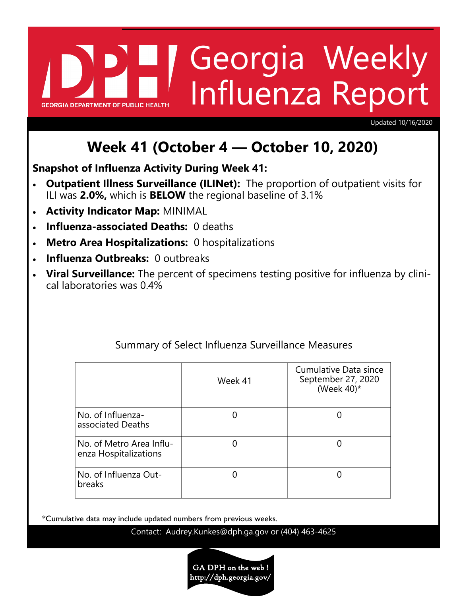# Georgia Weekly Influenza Report **GEORGIA DEPARTMENT OF PUBLIC HE**

Updated 10/16/2020

# **Week 41 (October 4 — October 10, 2020)**

**Snapshot of Influenza Activity During Week 41:**

- **Outpatient Illness Surveillance (ILINet):** The proportion of outpatient visits for ILI was **2.0%,** which is **BELOW** the regional baseline of 3.1%
- **Activity Indicator Map:** MINIMAL
- **Influenza-associated Deaths:** 0 deaths
- **Metro Area Hospitalizations:** 0 hospitalizations
- **Influenza Outbreaks:** 0 outbreaks
- **Viral Surveillance:** The percent of specimens testing positive for influenza by clinical laboratories was 0.4%

|                                                   | Week 41 | Cumulative Data since<br>September 27, 2020<br>(Week $40$ )* |
|---------------------------------------------------|---------|--------------------------------------------------------------|
| No. of Influenza-<br>associated Deaths            |         |                                                              |
| No. of Metro Area Influ-<br>enza Hospitalizations |         |                                                              |
| No. of Influenza Out-<br>breaks                   |         |                                                              |

# Summary of Select Influenza Surveillance Measures

\*Cumulative data may include updated numbers from previous weeks.

Contact: Audrey.Kunkes@dph.ga.gov or (404) 463-4625

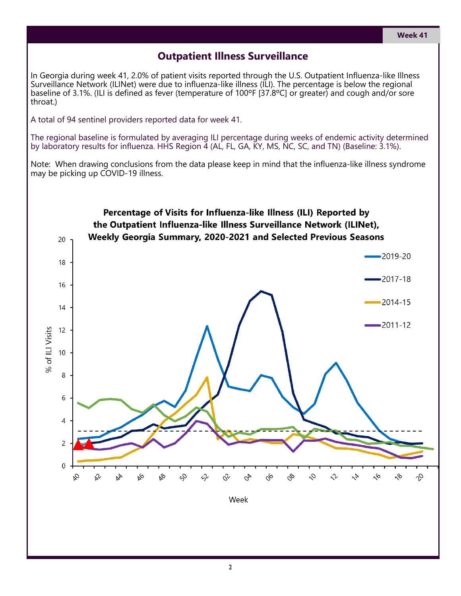## **Outpatient Illness Surveillance**

In Georgia during week 41, 2.0% of patient visits reported through the U.S. Outpatient Influenza-like Illness Surveillance Network (ILINet) were due to influenza-like illness (ILI). The percentage is below the regional baseline of 3.1%. (ILI is defined as fever (temperature of 100ºF [37.8ºC] or greater) and cough and/or sore throat.)

A total of 94 sentinel providers reported data for week 41.

The regional baseline is formulated by averaging ILI percentage during weeks of endemic activity determined by laboratory results for influenza. HHS Region 4 (AL, FL, GA, KY, MS, NC, SC, and TN) (Baseline: 3.1%).

Note: When drawing conclusions from the data please keep in mind that the influenza-like illness syndrome may be picking up COVID-19 illness.

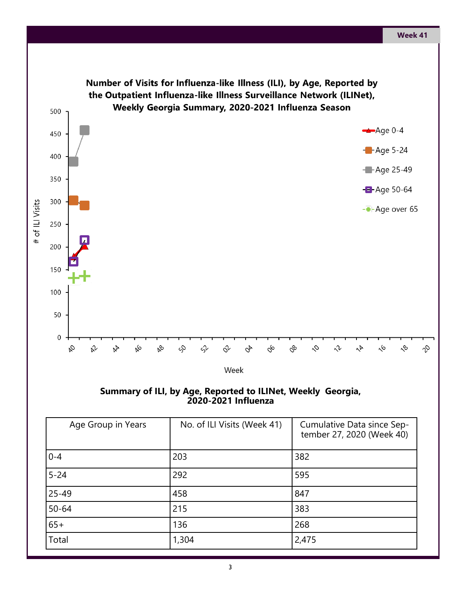

**Summary of ILI, by Age, Reported to ILINet, Weekly Georgia, 2020-2021 Influenza** 

| Age Group in Years | No. of ILI Visits (Week 41) | Cumulative Data since Sep-<br>tember 27, 2020 (Week 40) |
|--------------------|-----------------------------|---------------------------------------------------------|
| $0 - 4$            | 203                         | 382                                                     |
| $5 - 24$           | 292                         | 595                                                     |
| $25 - 49$          | 458                         | 847                                                     |
| $50 - 64$          | 215                         | 383                                                     |
| $65+$              | 136                         | 268                                                     |
| Total              | 1,304                       | 2,475                                                   |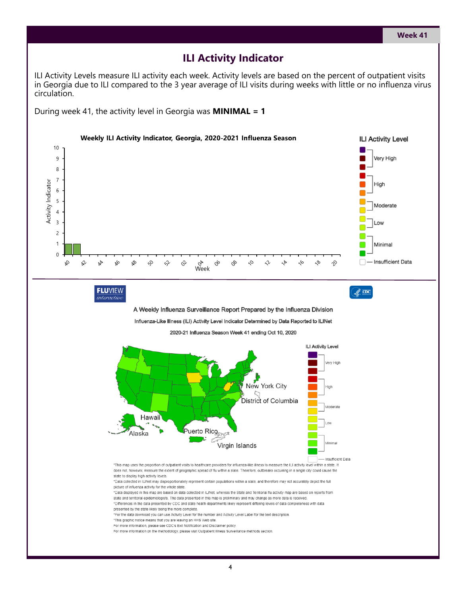#### **ILI Activity Indicator**

ILI Activity Levels measure ILI activity each week. Activity levels are based on the percent of outpatient visits in Georgia due to ILI compared to the 3 year average of ILI visits during weeks with little or no influenza virus circulation.

During week 41, the activity level in Georgia was **MINIMAL = 1**

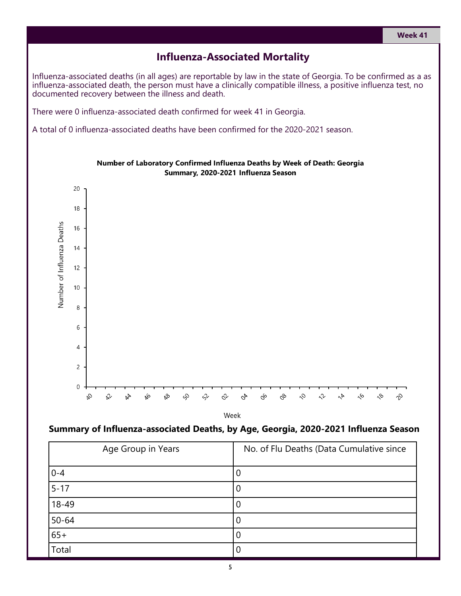### **Influenza-Associated Mortality**

Influenza-associated deaths (in all ages) are reportable by law in the state of Georgia. To be confirmed as a as influenza-associated death, the person must have a clinically compatible illness, a positive influenza test, no documented recovery between the illness and death.

There were 0 influenza-associated death confirmed for week 41 in Georgia.

A total of 0 influenza-associated deaths have been confirmed for the 2020-2021 season.



Number of Laboratory Confirmed Influenza Deaths by Week of Death: Georgia Summary, 2020-2021 Influenza Season

Week

#### **Summary of Influenza-associated Deaths, by Age, Georgia, 2020-2021 Influenza Season**

| Age Group in Years | No. of Flu Deaths (Data Cumulative since |
|--------------------|------------------------------------------|
| $0 - 4$            |                                          |
| $5 - 17$           |                                          |
| $18 - 49$          | O                                        |
| $50 - 64$          | U                                        |
| $65+$              |                                          |
| Total              |                                          |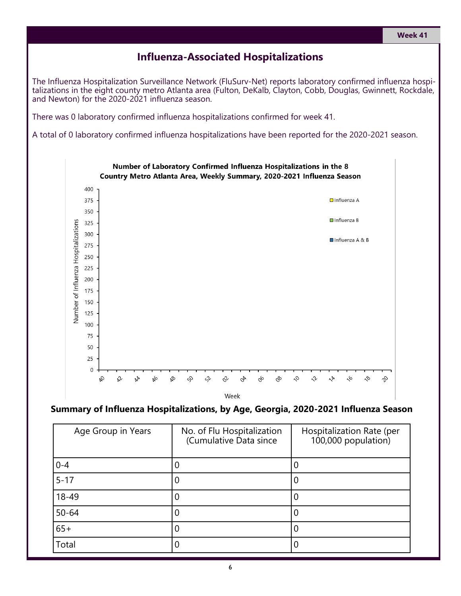#### **Week 41**

#### **Influenza-Associated Hospitalizations**

The Influenza Hospitalization Surveillance Network (FluSurv-Net) reports laboratory confirmed influenza hospitalizations in the eight county metro Atlanta area (Fulton, DeKalb, Clayton, Cobb, Douglas, Gwinnett, Rockdale, and Newton) for the 2020-2021 influenza season.

There was 0 laboratory confirmed influenza hospitalizations confirmed for week 41.

A total of 0 laboratory confirmed influenza hospitalizations have been reported for the 2020-2021 season.



#### **Summary of Influenza Hospitalizations, by Age, Georgia, 2020-2021 Influenza Season**

| Age Group in Years | No. of Flu Hospitalization<br>(Cumulative Data since | Hospitalization Rate (per<br>100,000 population) |
|--------------------|------------------------------------------------------|--------------------------------------------------|
| $0 - 4$            |                                                      |                                                  |
| $5 - 17$           | 0                                                    |                                                  |
| 18-49              | 0                                                    |                                                  |
| $50 - 64$          | 0                                                    |                                                  |
| $65+$              | 0                                                    |                                                  |
| Total              | 0                                                    |                                                  |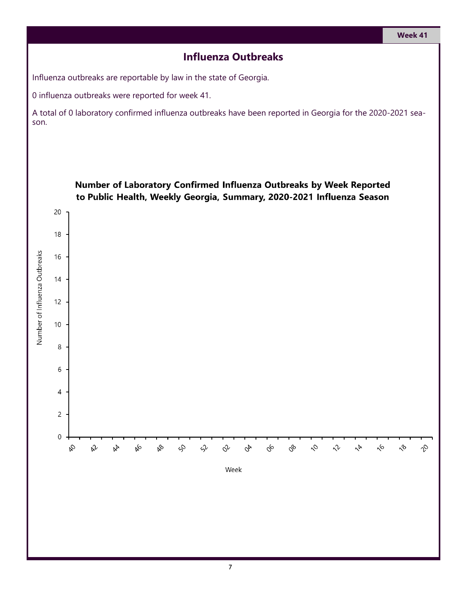## **Influenza Outbreaks**

Influenza outbreaks are reportable by law in the state of Georgia.

0 influenza outbreaks were reported for week 41.

A total of 0 laboratory confirmed influenza outbreaks have been reported in Georgia for the 2020-2021 season.

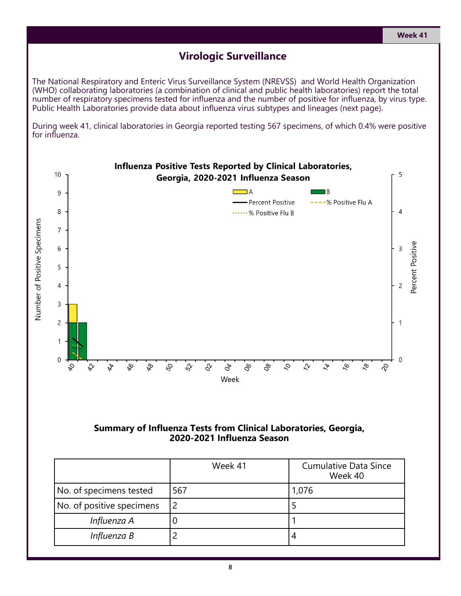#### **Virologic Surveillance**

The National Respiratory and Enteric Virus Surveillance System (NREVSS) and World Health Organization (WHO) collaborating laboratories (a combination of clinical and public health laboratories) report the total number of respiratory specimens tested for influenza and the number of positive for influenza, by virus type. Public Health Laboratories provide data about influenza virus subtypes and lineages (next page).

During week 41, clinical laboratories in Georgia reported testing 567 specimens, of which 0.4% were positive for influenza.



#### **Summary of Influenza Tests from Clinical Laboratories, Georgia, 2020-2021 Influenza Season**

|                           | Week 41 | <b>Cumulative Data Since</b><br>Week 40 |
|---------------------------|---------|-----------------------------------------|
| No. of specimens tested   | 567     | 1,076                                   |
| No. of positive specimens |         |                                         |
| Influenza A               |         |                                         |
| Influenza B               |         |                                         |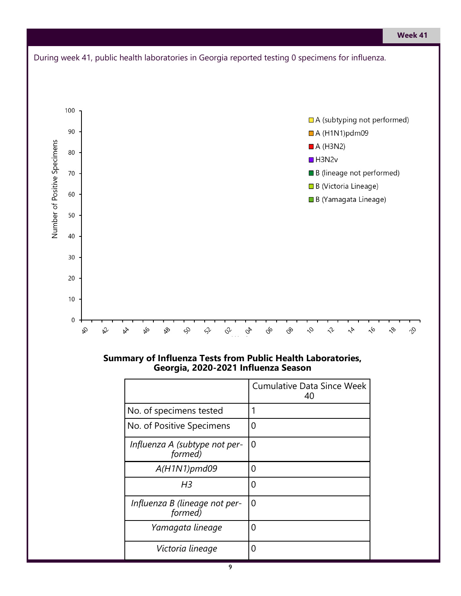

#### **Summary of Influenza Tests from Public Health Laboratories, Georgia, 2020-2021 Influenza Season**

|                                          | <b>Cumulative Data Since Week</b><br>40 |
|------------------------------------------|-----------------------------------------|
| No. of specimens tested                  |                                         |
| No. of Positive Specimens                | O                                       |
| Influenza A (subtype not per-<br>formed) | 0                                       |
| $A(H1N1)$ pmd09                          | Ω                                       |
| H3                                       | ი                                       |
| Influenza B (lineage not per-<br>formed) | O                                       |
| Yamagata lineage                         | O                                       |
| Victoria lineage                         | 0                                       |